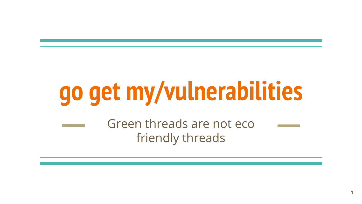# **go get my/vulnerabilities**

1

Green threads are not eco friendly threads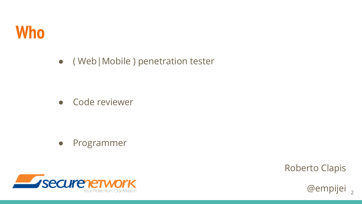

● ( Web|Mobile ) penetration tester

● Code reviewer

● Programmer



Roberto Clapis

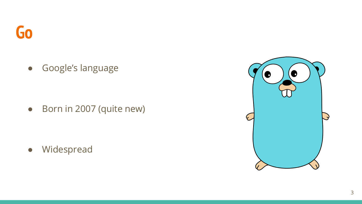● Google's language

● Born in 2007 (quite new)

● Widespread

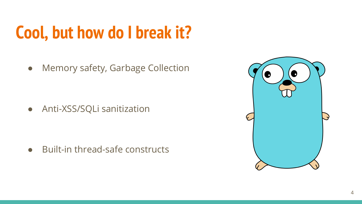### **Cool, but how do I break it?**

• Memory safety, Garbage Collection

● Anti-XSS/SQLi sanitization

● Built-in thread-safe constructs

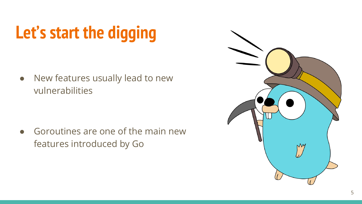## **Let's start the digging**

● New features usually lead to new vulnerabilities

 $\bullet$  Goroutines are one of the main new features introduced by Go

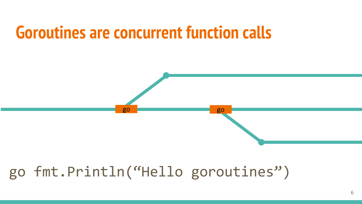### **Goroutines are concurrent function calls**



#### go fmt.Println("Hello goroutines")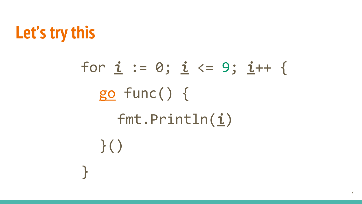

for *i* := 0; *i* <= 9; *i*++ { go func() { fmt.Println(*i*) }() }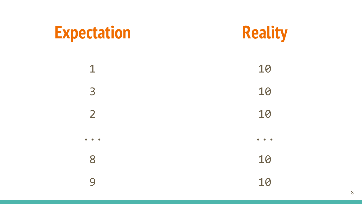### **Expectation**



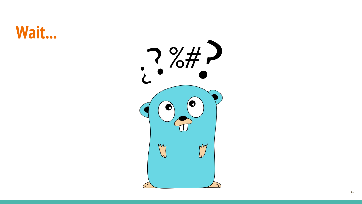### **Wait...**

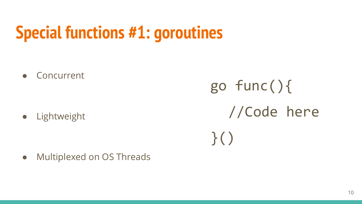### **Special functions #1: goroutines**

● Concurrent

● Lightweight

go func(){ //Code here }()

● Multiplexed on OS Threads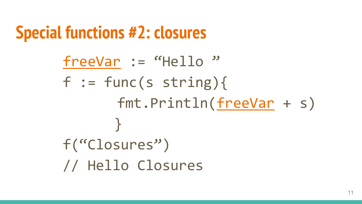### **Special functions #2: closures**

freeVar := "Hello"  $f := func(s string)$ fmt.Println(freeVar + s) } f("Closures") // Hello Closures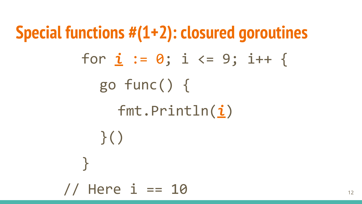**Special functions #(1+2): closured goroutines** for  $i := 0; i \le 9; i++$ go func() { fmt.Println(*i*) }() } // Here  $i == 10$  12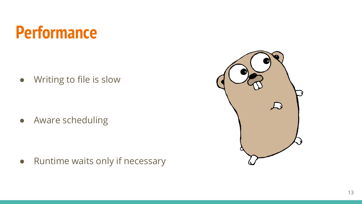### **Performance**

● Writing to file is slow

● Aware scheduling

● Runtime waits only if necessary

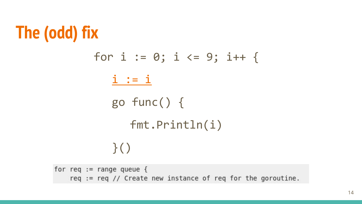### **The (odd) fix**



for req := range queue {<br>req := req // Create new instance of req for the goroutine.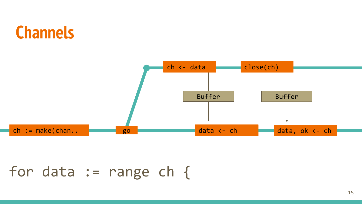### **Channels**



#### for data  $:=$  range ch {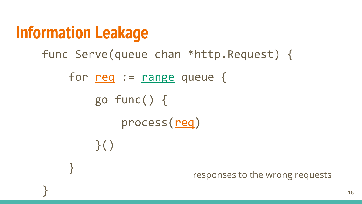### **Information Leakage**

 $\}()$ 

}

```
func Serve(queue chan *http.Request) {
```

```
for <u>req</u> := <u>range</u> queue {</u>
```

```
 go func() {
```
process(req)

responses to the wrong requests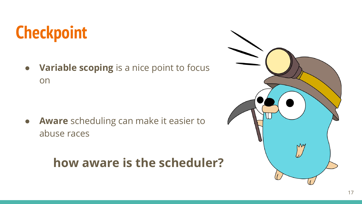### **Checkpoint**

● **Variable scoping** is a nice point to focus on

● **Aware** scheduling can make it easier to abuse races

#### **how aware is the scheduler?**

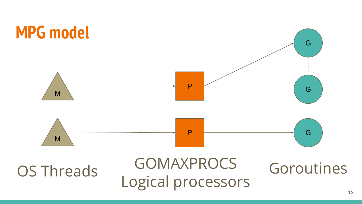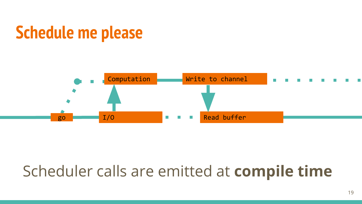### **Schedule me please**



### Scheduler calls are emitted at **compile time**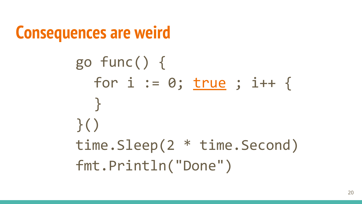```
Consequences are weird
       go func() {
          for i := 0; true ; i++ {
          }
       }()
       time.Sleep(2 * time.Second)
       fmt.Println("Done")
```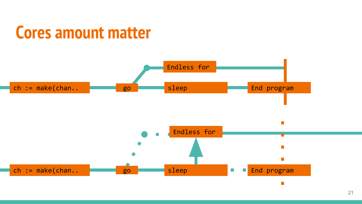### **Cores amount matter**

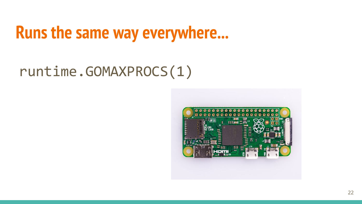### **Runs the same way everywhere...**

#### runtime.GOMAXPROCS(1)

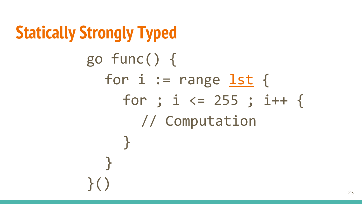```
Statically Strongly Typed
         go func() {
            for i := range lst {
              for ; i \le 255 ; i++ {
                 // Computation
              }
            }
         }()
```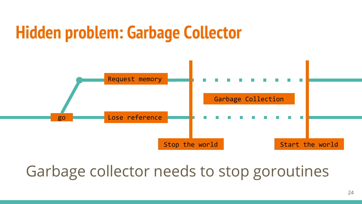### **Hidden problem: Garbage Collector**



#### Garbage collector needs to stop goroutines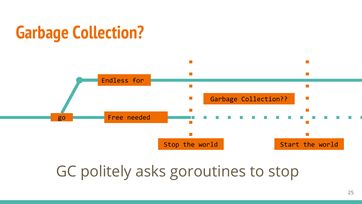### **Garbage Collection?**



#### GC politely asks goroutines to stop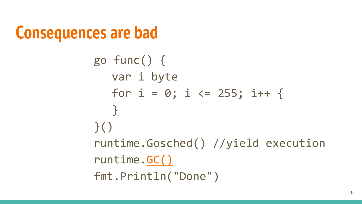```
Consequences are bad
```

```
go func() {
  var i byte
  for i = 0; i \le 255; i++ {
   }
\}()runtime.Gosched() //yield execution
runtime.GC()
fmt.Println("Done")
```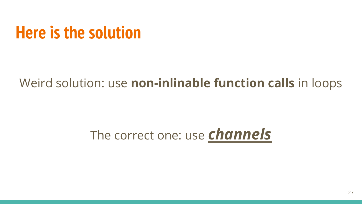### **Here is the solution**

#### Weird solution: use **non-inlinable function calls** in loops

#### The correct one: use *channels*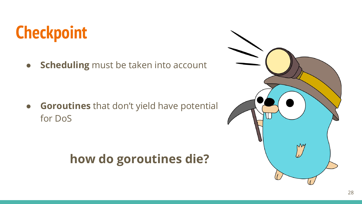### **Checkpoint**

● **Scheduling** must be taken into account

● **Goroutines** that don't yield have potential for DoS

#### **how do goroutines die?**

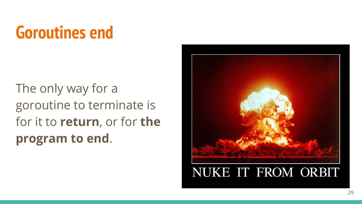### **Goroutines end**

The only way for a goroutine to terminate is for it to **return**, or for **the program to end**.

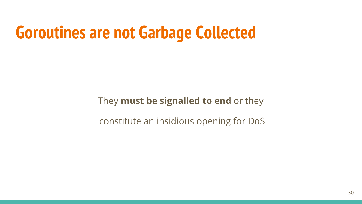### **Goroutines are not Garbage Collected**

They **must be signalled to end** or they

constitute an insidious opening for DoS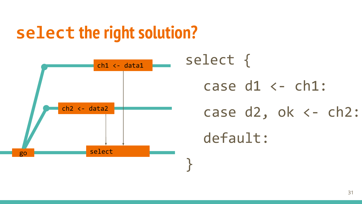### **select the right solution?**



select { case  $d1 \leftarrow ch1$ : case  $d2$ , ok  $\leftarrow$  ch2: default: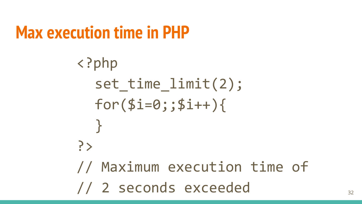### **Max execution time in PHP**

```
<?php
  set_time_limit(2);
 for ($i=0; ; $i++){
  }
?>
// Maximum execution time of
// 2 seconds exceeded 32
```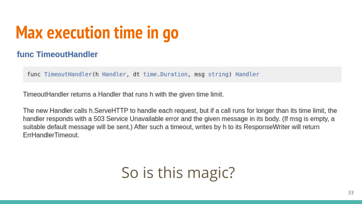### **Max execution time in go**

#### func TimeoutHandler

func TimeoutHandler(h Handler, dt time.Duration, msg string) Handler

TimeoutHandler returns a Handler that runs h with the given time limit.

The new Handler calls h.ServeHTTP to handle each request, but if a call runs for longer than its time limit, the handler responds with a 503 Service Unavailable error and the given message in its body. (If msg is empty, a suitable default message will be sent.) After such a timeout, writes by h to its ResponseWriter will return ErrHandlerTimeout.

#### So is this magic?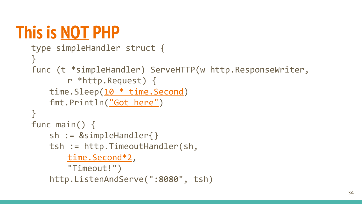### **This is NOT PHP**

```
type simpleHandler struct {
}
func (t *simpleHandler) ServeHTTP(w http.ResponseWriter, 
       r *http.Request) {
   time.Sleep(10 * time.Second)
   fmt.Println("Got here")
}
func main() {
   sh := &simpleHandler{}
   tsh := http.TimeoutHandler(sh, 
       time.Second*2, 
       "Timeout!")
   http.ListenAndServe(":8080", tsh)
```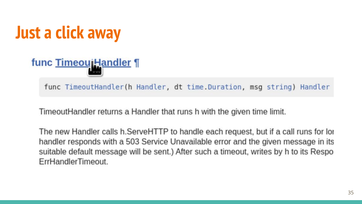### **Just a click away**

func TimeouiHandler ¶

func TimeoutHandler(h Handler, dt time.Duration, msg string) Handler

TimeoutHandler returns a Handler that runs h with the given time limit.

The new Handler calls h. ServeHTTP to handle each request, but if a call runs for lor handler responds with a 503 Service Unavailable error and the given message in its suitable default message will be sent.) After such a timeout, writes by h to its Respo ErrHandlerTimeout.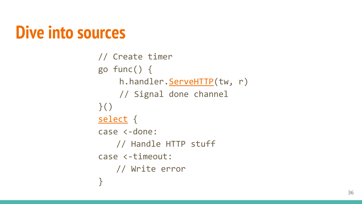### **Dive into sources**

```
// Create timer
go func() {
    h.handler. ServeHTTP(tw, r)
    // Signal done channel
\}()
select {
case <-done:
   // Handle HTTP stuff
case <-timeout:
   // Write error
}
```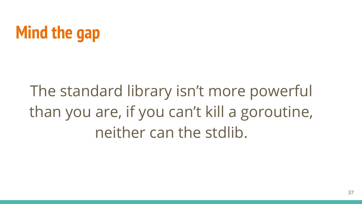### **Mind the gap**

The standard library isn't more powerful than you are, if you can't kill a goroutine, neither can the stdlib.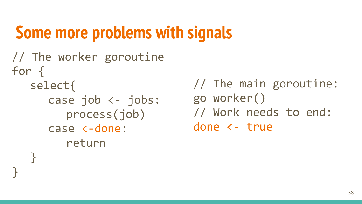### **Some more problems with signals**

// The worker goroutine for { select{ case job <- jobs: process(job) case <-done: return }

}

// The main goroutine: go worker() // Work needs to end: done <- true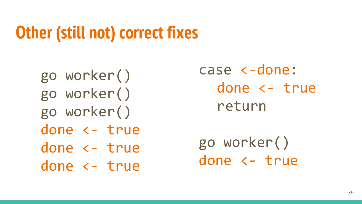### **Other (still not) correct fixes**

go worker() go worker() go worker() done <- true done <- true done <- true case <-done: done <- true return

go worker() done <- true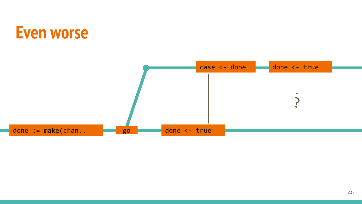### **Even worse**

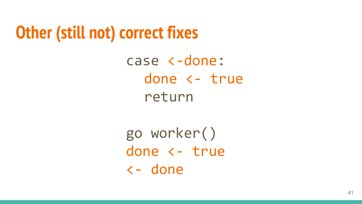### **Other (still not) correct fixes**

case <-done: done <- true return

go worker() done <- true <- done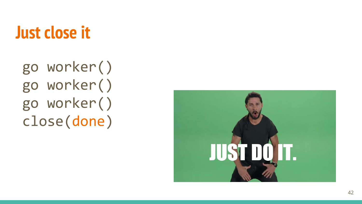### **Just close it**

go worker() go worker() go worker() close(done )

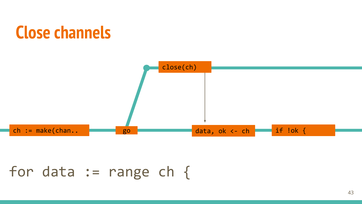### **Close channels**



#### for data  $:=$  range ch {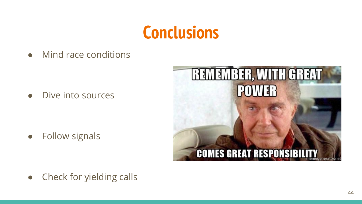### **Conclusions**

Mind race conditions

Dive into sources

● Follow signals



• Check for yielding calls